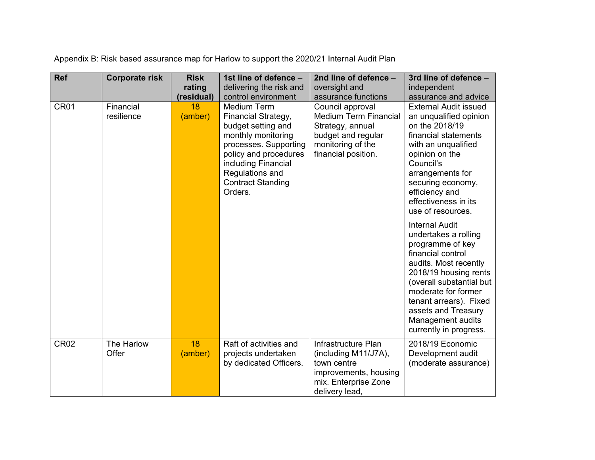| <b>Ref</b>  | <b>Corporate risk</b>   | <b>Risk</b>   | 1st line of defence -                                                                                                                                                                                                    | 2nd line of defence -                                                                                                                  | 3rd line of defence -                                                                                                                                                                                                                                                                       |
|-------------|-------------------------|---------------|--------------------------------------------------------------------------------------------------------------------------------------------------------------------------------------------------------------------------|----------------------------------------------------------------------------------------------------------------------------------------|---------------------------------------------------------------------------------------------------------------------------------------------------------------------------------------------------------------------------------------------------------------------------------------------|
|             |                         | rating        | delivering the risk and                                                                                                                                                                                                  | oversight and                                                                                                                          | independent                                                                                                                                                                                                                                                                                 |
|             |                         | (residual)    | control environment                                                                                                                                                                                                      | assurance functions                                                                                                                    | assurance and advice                                                                                                                                                                                                                                                                        |
| CR01        | Financial<br>resilience | 18<br>(amber) | <b>Medium Term</b><br>Financial Strategy,<br>budget setting and<br>monthly monitoring<br>processes. Supporting<br>policy and procedures<br>including Financial<br>Regulations and<br><b>Contract Standing</b><br>Orders. | Council approval<br><b>Medium Term Financial</b><br>Strategy, annual<br>budget and regular<br>monitoring of the<br>financial position. | <b>External Audit issued</b><br>an unqualified opinion<br>on the 2018/19<br>financial statements<br>with an unqualified<br>opinion on the<br>Council's<br>arrangements for<br>securing economy,<br>efficiency and<br>effectiveness in its<br>use of resources.                              |
|             |                         |               |                                                                                                                                                                                                                          |                                                                                                                                        | <b>Internal Audit</b><br>undertakes a rolling<br>programme of key<br>financial control<br>audits. Most recently<br>2018/19 housing rents<br>(overall substantial but<br>moderate for former<br>tenant arrears). Fixed<br>assets and Treasury<br>Management audits<br>currently in progress. |
| <b>CR02</b> | The Harlow<br>Offer     | 18<br>(amber) | Raft of activities and<br>projects undertaken<br>by dedicated Officers.                                                                                                                                                  | Infrastructure Plan<br>(including M11/J7A),<br>town centre<br>improvements, housing<br>mix. Enterprise Zone<br>delivery lead,          | 2018/19 Economic<br>Development audit<br>(moderate assurance)                                                                                                                                                                                                                               |

Appendix B: Risk based assurance map for Harlow to support the 2020/21 Internal Audit Plan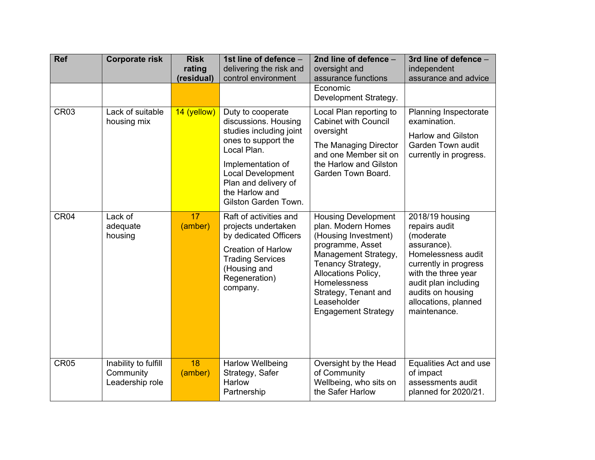| <b>Ref</b>       | <b>Corporate risk</b>                                | <b>Risk</b><br>rating<br>(residual) | 1st line of defence -<br>delivering the risk and<br>control environment                                                                                                                                                       | 2nd line of defence -<br>oversight and<br>assurance functions<br>Economic<br>Development Strategy.                                                                                                                                                    | 3rd line of defence -<br>independent<br>assurance and advice                                                                                                                                                            |
|------------------|------------------------------------------------------|-------------------------------------|-------------------------------------------------------------------------------------------------------------------------------------------------------------------------------------------------------------------------------|-------------------------------------------------------------------------------------------------------------------------------------------------------------------------------------------------------------------------------------------------------|-------------------------------------------------------------------------------------------------------------------------------------------------------------------------------------------------------------------------|
| CR <sub>03</sub> | Lack of suitable<br>housing mix                      | 14 (yellow)                         | Duty to cooperate<br>discussions. Housing<br>studies including joint<br>ones to support the<br>Local Plan.<br>Implementation of<br><b>Local Development</b><br>Plan and delivery of<br>the Harlow and<br>Gilston Garden Town. | Local Plan reporting to<br><b>Cabinet with Council</b><br>oversight<br>The Managing Director<br>and one Member sit on<br>the Harlow and Gilston<br>Garden Town Board.                                                                                 | Planning Inspectorate<br>examination.<br><b>Harlow and Gilston</b><br>Garden Town audit<br>currently in progress.                                                                                                       |
| CR <sub>04</sub> | Lack of<br>adequate<br>housing                       | 17 <sup>2</sup><br>(amber)          | Raft of activities and<br>projects undertaken<br>by dedicated Officers<br><b>Creation of Harlow</b><br><b>Trading Services</b><br>(Housing and<br>Regeneration)<br>company.                                                   | <b>Housing Development</b><br>plan. Modern Homes<br>(Housing Investment)<br>programme, Asset<br>Management Strategy,<br>Tenancy Strategy,<br>Allocations Policy,<br>Homelessness<br>Strategy, Tenant and<br>Leaseholder<br><b>Engagement Strategy</b> | 2018/19 housing<br>repairs audit<br>(moderate<br>assurance).<br>Homelessness audit<br>currently in progress<br>with the three year<br>audit plan including<br>audits on housing<br>allocations, planned<br>maintenance. |
| <b>CR05</b>      | Inability to fulfill<br>Community<br>Leadership role | 18<br>(amber)                       | <b>Harlow Wellbeing</b><br>Strategy, Safer<br>Harlow<br>Partnership                                                                                                                                                           | Oversight by the Head<br>of Community<br>Wellbeing, who sits on<br>the Safer Harlow                                                                                                                                                                   | Equalities Act and use<br>of impact<br>assessments audit<br>planned for 2020/21.                                                                                                                                        |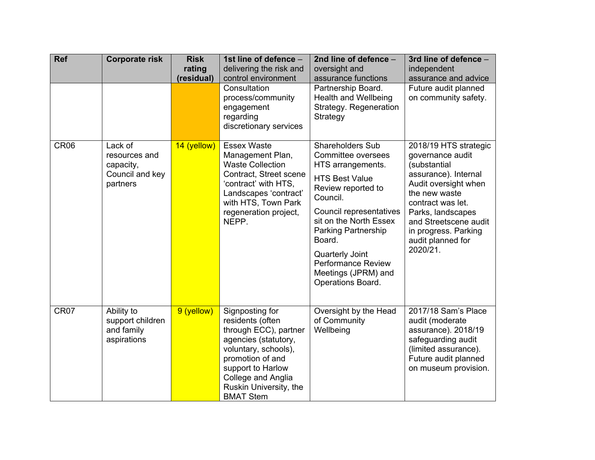| <b>Ref</b>       | <b>Corporate risk</b>                                                | <b>Risk</b><br>rating<br>(residual) | 1st line of defence -<br>delivering the risk and<br>control environment                                                                                                                                                   | 2nd line of defence -<br>oversight and<br>assurance functions                                                                                                                                                                                                                                                          | 3rd line of defence -<br>independent<br>assurance and advice                                                                                                                                                                                           |
|------------------|----------------------------------------------------------------------|-------------------------------------|---------------------------------------------------------------------------------------------------------------------------------------------------------------------------------------------------------------------------|------------------------------------------------------------------------------------------------------------------------------------------------------------------------------------------------------------------------------------------------------------------------------------------------------------------------|--------------------------------------------------------------------------------------------------------------------------------------------------------------------------------------------------------------------------------------------------------|
|                  |                                                                      |                                     | Consultation<br>process/community<br>engagement<br>regarding<br>discretionary services                                                                                                                                    | Partnership Board.<br><b>Health and Wellbeing</b><br>Strategy. Regeneration<br>Strategy                                                                                                                                                                                                                                | Future audit planned<br>on community safety.                                                                                                                                                                                                           |
| CR <sub>06</sub> | Lack of<br>resources and<br>capacity,<br>Council and key<br>partners | 14 (yellow)                         | <b>Essex Waste</b><br>Management Plan,<br><b>Waste Collection</b><br>Contract, Street scene<br>'contract' with HTS,<br>Landscapes 'contract'<br>with HTS, Town Park<br>regeneration project,<br>NEPP.                     | <b>Shareholders Sub</b><br>Committee oversees<br>HTS arrangements.<br><b>HTS Best Value</b><br>Review reported to<br>Council.<br>Council representatives<br>sit on the North Essex<br><b>Parking Partnership</b><br>Board.<br>Quarterly Joint<br><b>Performance Review</b><br>Meetings (JPRM) and<br>Operations Board. | 2018/19 HTS strategic<br>governance audit<br>(substantial<br>assurance). Internal<br>Audit oversight when<br>the new waste<br>contract was let.<br>Parks, landscapes<br>and Streetscene audit<br>in progress. Parking<br>audit planned for<br>2020/21. |
| CR <sub>07</sub> | Ability to<br>support children<br>and family<br>aspirations          | 9 (yellow)                          | Signposting for<br>residents (often<br>through ECC), partner<br>agencies (statutory,<br>voluntary, schools),<br>promotion of and<br>support to Harlow<br>College and Anglia<br>Ruskin University, the<br><b>BMAT Stem</b> | Oversight by the Head<br>of Community<br>Wellbeing                                                                                                                                                                                                                                                                     | 2017/18 Sam's Place<br>audit (moderate<br>assurance). 2018/19<br>safeguarding audit<br>(limited assurance).<br>Future audit planned<br>on museum provision.                                                                                            |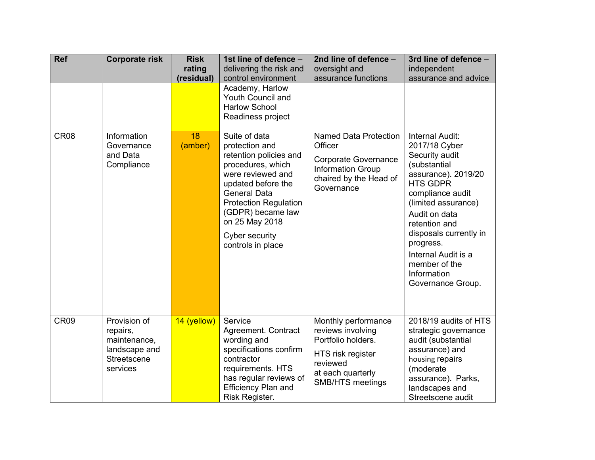| <b>Ref</b>       | <b>Corporate risk</b>                                                                | <b>Risk</b><br>rating<br>(residual) | 1st line of defence -<br>delivering the risk and<br>control environment                                                                                                                                                                                        | 2nd line of defence -<br>oversight and<br>assurance functions                                                                                   | 3rd line of defence -<br>independent<br>assurance and advice                                                                                                                                                                                                                                                 |
|------------------|--------------------------------------------------------------------------------------|-------------------------------------|----------------------------------------------------------------------------------------------------------------------------------------------------------------------------------------------------------------------------------------------------------------|-------------------------------------------------------------------------------------------------------------------------------------------------|--------------------------------------------------------------------------------------------------------------------------------------------------------------------------------------------------------------------------------------------------------------------------------------------------------------|
|                  |                                                                                      |                                     | Academy, Harlow<br>Youth Council and<br><b>Harlow School</b><br>Readiness project                                                                                                                                                                              |                                                                                                                                                 |                                                                                                                                                                                                                                                                                                              |
| <b>CR08</b>      | Information<br>Governance<br>and Data<br>Compliance                                  | 18<br>(amber)                       | Suite of data<br>protection and<br>retention policies and<br>procedures, which<br>were reviewed and<br>updated before the<br><b>General Data</b><br><b>Protection Regulation</b><br>(GDPR) became law<br>on 25 May 2018<br>Cyber security<br>controls in place | Named Data Protection<br>Officer<br><b>Corporate Governance</b><br><b>Information Group</b><br>chaired by the Head of<br>Governance             | Internal Audit:<br>2017/18 Cyber<br>Security audit<br>(substantial<br>assurance). 2019/20<br><b>HTS GDPR</b><br>compliance audit<br>(limited assurance)<br>Audit on data<br>retention and<br>disposals currently in<br>progress.<br>Internal Audit is a<br>member of the<br>Information<br>Governance Group. |
| CR <sub>09</sub> | Provision of<br>repairs,<br>maintenance,<br>landscape and<br>Streetscene<br>services | 14 (yellow)                         | Service<br>Agreement. Contract<br>wording and<br>specifications confirm<br>contractor<br>requirements. HTS<br>has regular reviews of<br><b>Efficiency Plan and</b><br>Risk Register.                                                                           | Monthly performance<br>reviews involving<br>Portfolio holders.<br>HTS risk register<br>reviewed<br>at each quarterly<br><b>SMB/HTS meetings</b> | 2018/19 audits of HTS<br>strategic governance<br>audit (substantial<br>assurance) and<br>housing repairs<br>(moderate<br>assurance). Parks,<br>landscapes and<br>Streetscene audit                                                                                                                           |